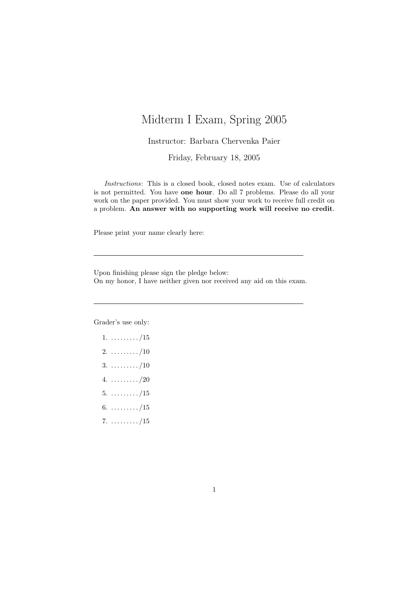## Midterm I Exam, Spring 2005

## Instructor: Barbara Chervenka Paier

Friday, February 18, 2005

Instructions: This is a closed book, closed notes exam. Use of calculators is not permitted. You have one hour. Do all 7 problems. Please do all your work on the paper provided. You must show your work to receive full credit on a problem. An answer with no supporting work will receive no credit.

Please print your name clearly here:

Upon finishing please sign the pledge below: On my honor, I have neither given nor received any aid on this exam.

Grader's use only:

- $1. \ldots \ldots \ldots \ldots \ldots \ldots \ldots \ldots$  $2. \ldots \ldots \ldots \ldots \ldots \ldots \ldots (10)$  $3. \ldots \ldots \ldots \frac{10}{10}$
- $4. \ldots \ldots \ldots \frac{1}{20}$
- $5. \ldots \ldots \ldots \frac{15}{15}$
- $6. \ldots \ldots \ldots \ldots /15$
- $7. \ldots \ldots \ldots \ldots \ldots \ldots \ldots \ldots$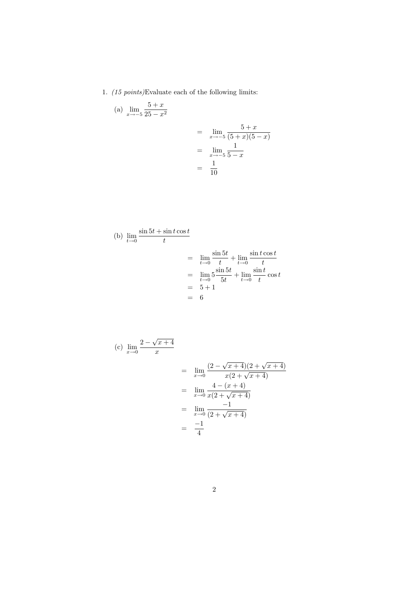1.  $(15 \ points)$ Evaluate each of the following limits:

 $\left( \mathrm{a}\right)$ 

$$
\lim_{x \to -5} \frac{5+x}{25 - x^2} = \lim_{x \to -5} \frac{5+x}{(5+x)(5-x)} = \lim_{x \to -5} \frac{1}{5 - x} = \frac{1}{10}
$$

(b) 
$$
\lim_{t \to 0} \frac{\sin 5t + \sin t \cos t}{t}
$$
\n
$$
= \lim_{t \to 0} \frac{\sin 5t}{t} + \lim_{t \to 0} \frac{\sin t \cos t}{t}
$$
\n
$$
= \lim_{t \to 0} 5 \frac{\sin 5t}{5t} + \lim_{t \to 0} \frac{\sin t}{t} \cos t
$$
\n
$$
= 5 + 1
$$
\n
$$
= 6
$$

(c) 
$$
\lim_{x \to 0} \frac{2 - \sqrt{x + 4}}{x}
$$
  
= 
$$
\lim_{x \to 0} \frac{(2 - \sqrt{x + 4})(2 + \sqrt{x + 4})}{x(2 + \sqrt{x + 4})}
$$
  
= 
$$
\lim_{x \to 0} \frac{4 - (x + 4)}{x(2 + \sqrt{x + 4})}
$$
  
= 
$$
\lim_{x \to 0} \frac{-1}{(2 + \sqrt{x + 4})}
$$
  
= 
$$
\frac{-1}{4}
$$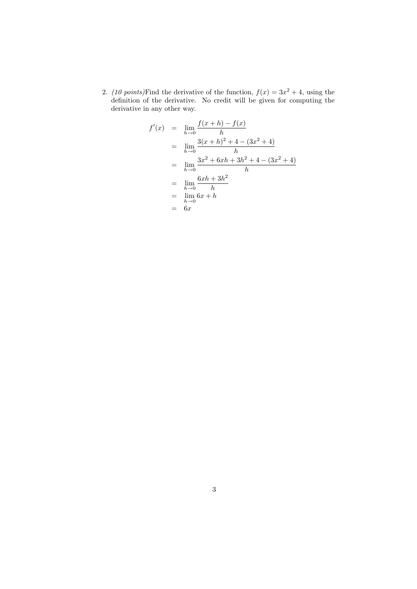2. (10 points) Find the derivative of the function,  $f(x) = 3x^2 + 4$ , using the definition of the derivative. No credit will be given for computing the derivative in any other way.

$$
f'(x) = \lim_{h \to 0} \frac{f(x+h) - f(x)}{h}
$$
  
= 
$$
\lim_{h \to 0} \frac{3(x+h)^2 + 4 - (3x^2 + 4)}{h}
$$
  
= 
$$
\lim_{h \to 0} \frac{3x^2 + 6xh + 3h^2 + 4 - (3x^2 + 4)}{h}
$$
  
= 
$$
\lim_{h \to 0} \frac{6xh + 3h^2}{h}
$$
  
= 
$$
\lim_{h \to 0} 6x + h
$$
  
= 6x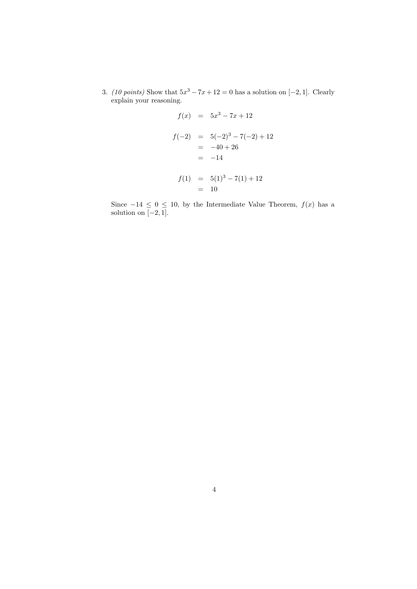3. (10 points) Show that  $5x^3 - 7x + 12 = 0$  has a solution on  $[-2, 1]$ . Clearly explain your reasoning.

$$
f(x) = 5x^3 - 7x + 12
$$
  
\n
$$
f(-2) = 5(-2)^3 - 7(-2) + 12
$$
  
\n
$$
= -40 + 26
$$
  
\n
$$
= -14
$$
  
\n
$$
f(1) = 5(1)^3 - 7(1) + 12
$$
  
\n
$$
= 10
$$

Since  $-14 \leq 0 \leq 10$ , by the Intermediate Value Theorem,  $f(x)$  has a solution on  $[-2, 1]$ .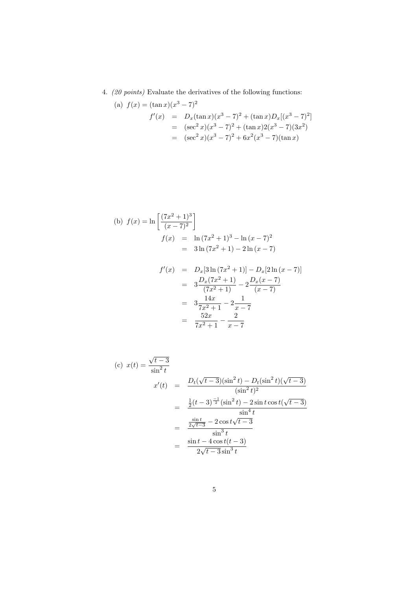4. (20 points) Evaluate the derivatives of the following functions:

(a) 
$$
f(x) = (\tan x)(x^3 - 7)^2
$$
  
\n $f'(x) = D_x(\tan x)(x^3 - 7)^2 + (\tan x)D_x[(x^3 - 7)^2]$   
\n $= (\sec^2 x)(x^3 - 7)^2 + (\tan x)2(x^3 - 7)(3x^2)$   
\n $= (\sec^2 x)(x^3 - 7)^2 + 6x^2(x^3 - 7)(\tan x)$ 

(b) 
$$
f(x) = \ln \left[ \frac{(7x^2 + 1)^3}{(x - 7)^2} \right]
$$
  
\n $f(x) = \ln (7x^2 + 1)^3 - \ln (x - 7)^2$   
\n $= 3\ln (7x^2 + 1) - 2\ln (x - 7)$ 

$$
f'(x) = D_x[3\ln(7x^2+1)] - D_x[2\ln(x-7)]
$$
  
= 
$$
3\frac{D_x(7x^2+1)}{(7x^2+1)} - 2\frac{D_x(x-7)}{(x-7)}
$$
  
= 
$$
3\frac{14x}{7x^2+1} - 2\frac{1}{x-7}
$$
  
= 
$$
\frac{52x}{7x^2+1} - \frac{2}{x-7}
$$

(c) 
$$
x(t) = \frac{\sqrt{t-3}}{\sin^2 t}
$$
  
\n
$$
x'(t) = \frac{D_t(\sqrt{t-3})(\sin^2 t) - D_t(\sin^2 t)(\sqrt{t-3})}{(\sin^2 t)^2}
$$
\n
$$
= \frac{\frac{1}{2}(t-3)^{\frac{-1}{2}}(\sin^2 t) - 2\sin t \cos t(\sqrt{t-3})}{\sin^4 t}
$$
\n
$$
= \frac{\frac{\sin t}{2\sqrt{t-3}} - 2\cos t\sqrt{t-3}}{\sin^3 t}
$$
\n
$$
= \frac{\sin t - 4\cos t(t-3)}{2\sqrt{t-3}\sin^3 t}
$$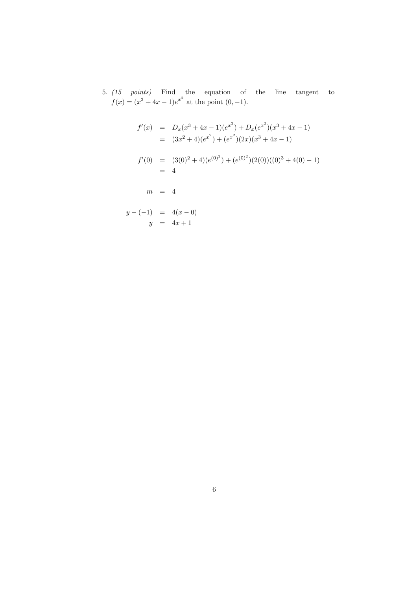5. (15 points) Find the equation of the line tangent to  $f(x) = (x^3 + 4x - 1)e^{x^2}$  at the point  $(0, -1)$ .

$$
f'(x) = D_x(x^3 + 4x - 1)(e^{x^2}) + D_x(e^{x^2})(x^3 + 4x - 1)
$$
  
\n
$$
= (3x^2 + 4)(e^{x^2}) + (e^{x^2})(2x)(x^3 + 4x - 1)
$$
  
\n
$$
f'(0) = (3(0)^2 + 4)(e^{(0)^2}) + (e^{(0)^2})(2(0))((0)^3 + 4(0) - 1)
$$
  
\n
$$
= 4
$$
  
\n
$$
m = 4
$$
  
\n
$$
y - (-1) = 4(x - 0)
$$
  
\n
$$
y = 4x + 1
$$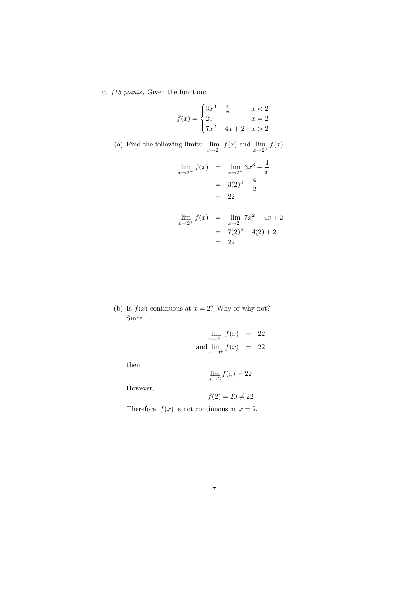6. (15 points) Given the function:

$$
f(x) = \begin{cases} 3x^3 - \frac{4}{x} & x < 2 \\ 20 & x = 2 \\ 7x^2 - 4x + 2 & x > 2 \end{cases}
$$

(a) Find the following limits: 
$$
\lim_{x \to 2^-} f(x)
$$
 and  $\lim_{x \to 2^+} f(x)$ 

$$
\lim_{x \to 2^{-}} f(x) = \lim_{x \to 2^{-}} 3x^{3} - \frac{4}{x}
$$

$$
= 3(2)^{3} - \frac{4}{2}
$$

$$
= 22
$$

$$
\lim_{x \to 2^{+}} f(x) = \lim_{x \to 2^{+}} 7x^{2} - 4x + 2
$$

$$
= 7(2)^{2} - 4(2) + 2
$$

$$
= 22
$$

(b) Is  $f(x)$  continuous at  $x = 2$ ? Why or why not? Since

$$
\lim_{x \to 2^{-}} f(x) = 22
$$
  
and 
$$
\lim_{x \to 2^{+}} f(x) = 22
$$

then

$$
\lim_{x \to 2} f(x) = 22
$$

However,

$$
f(2) = 20 \neq 22
$$

Therefore,  $f(x)$  is not continuous at  $x = 2$ .